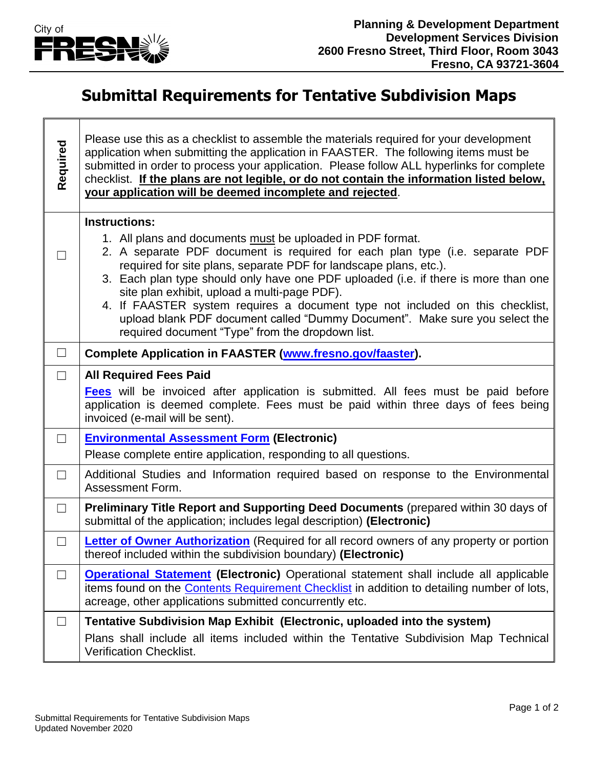

 $\Gamma$ 

Т

⅂

## **Submittal Requirements for Tentative Subdivision Maps**

| Required | Please use this as a checklist to assemble the materials required for your development<br>application when submitting the application in FAASTER. The following items must be<br>submitted in order to process your application. Please follow ALL hyperlinks for complete<br>checklist. If the plans are not legible, or do not contain the information listed below,<br>your application will be deemed incomplete and rejected.                                                                                                                                         |
|----------|----------------------------------------------------------------------------------------------------------------------------------------------------------------------------------------------------------------------------------------------------------------------------------------------------------------------------------------------------------------------------------------------------------------------------------------------------------------------------------------------------------------------------------------------------------------------------|
|          | <b>Instructions:</b>                                                                                                                                                                                                                                                                                                                                                                                                                                                                                                                                                       |
| $\Box$   | 1. All plans and documents must be uploaded in PDF format.<br>2. A separate PDF document is required for each plan type (i.e. separate PDF<br>required for site plans, separate PDF for landscape plans, etc.).<br>3. Each plan type should only have one PDF uploaded (i.e. if there is more than one<br>site plan exhibit, upload a multi-page PDF).<br>4. If FAASTER system requires a document type not included on this checklist,<br>upload blank PDF document called "Dummy Document". Make sure you select the<br>required document "Type" from the dropdown list. |
| $\Box$   | Complete Application in FAASTER (www.fresno.gov/faaster).                                                                                                                                                                                                                                                                                                                                                                                                                                                                                                                  |
| $\Box$   | <b>All Required Fees Paid</b>                                                                                                                                                                                                                                                                                                                                                                                                                                                                                                                                              |
|          | <b>Fees</b> will be invoiced after application is submitted. All fees must be paid before<br>application is deemed complete. Fees must be paid within three days of fees being<br>invoiced (e-mail will be sent).                                                                                                                                                                                                                                                                                                                                                          |
| $\Box$   | <b>Environmental Assessment Form (Electronic)</b>                                                                                                                                                                                                                                                                                                                                                                                                                                                                                                                          |
|          | Please complete entire application, responding to all questions.                                                                                                                                                                                                                                                                                                                                                                                                                                                                                                           |
| $\Box$   | Additional Studies and Information required based on response to the Environmental<br>Assessment Form.                                                                                                                                                                                                                                                                                                                                                                                                                                                                     |
| $\Box$   | <b>Preliminary Title Report and Supporting Deed Documents (prepared within 30 days of</b><br>submittal of the application; includes legal description) (Electronic)                                                                                                                                                                                                                                                                                                                                                                                                        |
| $\Box$   | Letter of Owner Authorization (Required for all record owners of any property or portion<br>thereof included within the subdivision boundary) (Electronic)                                                                                                                                                                                                                                                                                                                                                                                                                 |
| $\Box$   | <b>Operational Statement (Electronic)</b> Operational statement shall include all applicable<br>items found on the <b>Contents Requirement Checklist</b> in addition to detailing number of lots,<br>acreage, other applications submitted concurrently etc.                                                                                                                                                                                                                                                                                                               |
| ⊔        | Tentative Subdivision Map Exhibit (Electronic, uploaded into the system)                                                                                                                                                                                                                                                                                                                                                                                                                                                                                                   |
|          | Plans shall include all items included within the Tentative Subdivision Map Technical<br><b>Verification Checklist.</b>                                                                                                                                                                                                                                                                                                                                                                                                                                                    |